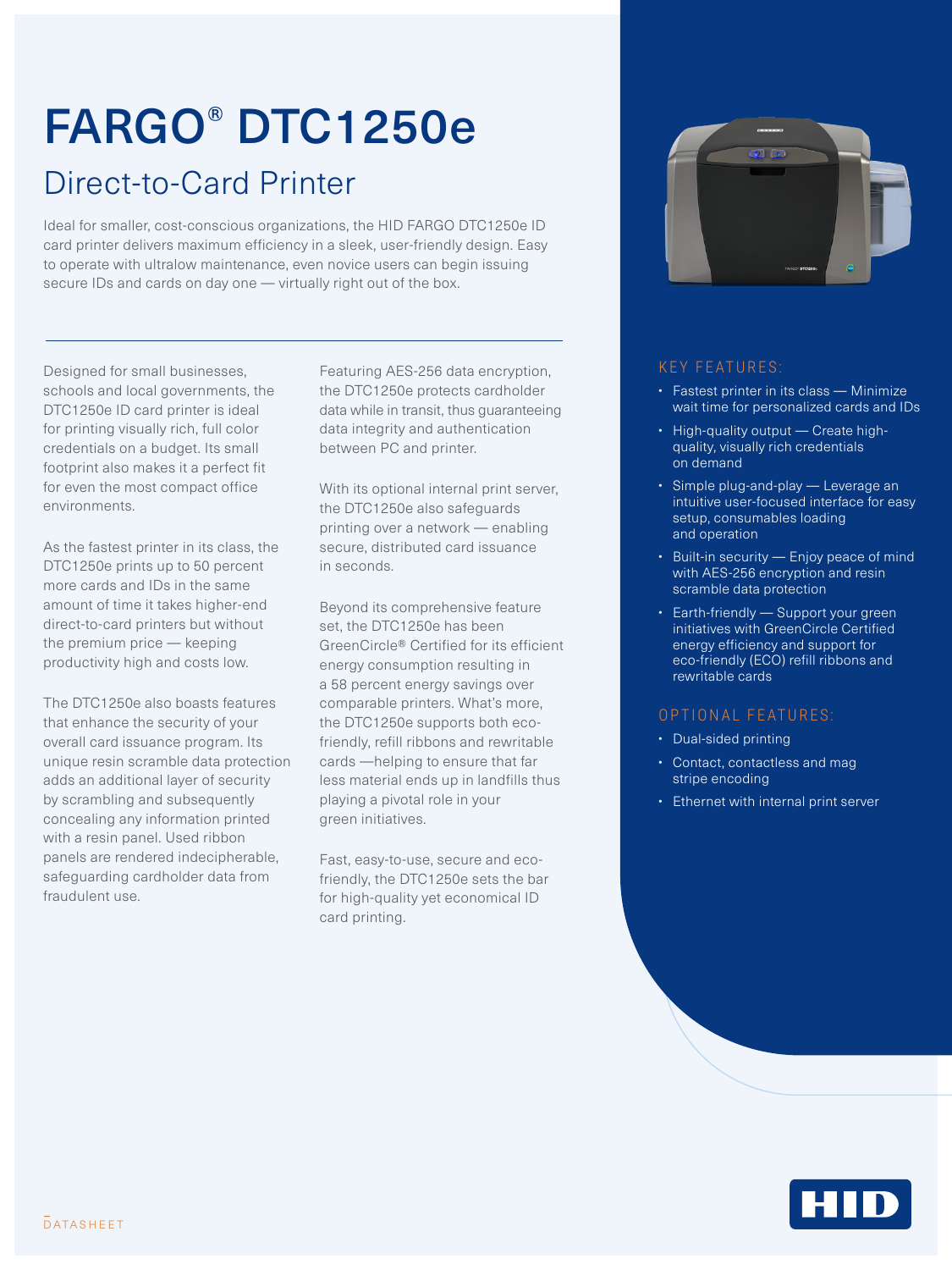# FARGO® DTC1250e

### Direct-to-Card Printer

Ideal for smaller, cost-conscious organizations, the HID FARGO DTC1250e ID card printer delivers maximum efficiency in a sleek, user-friendly design. Easy to operate with ultralow maintenance, even novice users can begin issuing secure IDs and cards on day one — virtually right out of the box.

Designed for small businesses, schools and local governments, the DTC1250e ID card printer is ideal for printing visually rich, full color credentials on a budget. Its small footprint also makes it a perfect fit for even the most compact office environments.

As the fastest printer in its class, the DTC1250e prints up to 50 percent more cards and IDs in the same amount of time it takes higher-end direct-to-card printers but without the premium price — keeping productivity high and costs low.

The DTC1250e also boasts features that enhance the security of your overall card issuance program. Its unique resin scramble data protection adds an additional layer of security by scrambling and subsequently concealing any information printed with a resin panel. Used ribbon panels are rendered indecipherable, safeguarding cardholder data from fraudulent use.

Featuring AES-256 data encryption, the DTC1250e protects cardholder data while in transit, thus guaranteeing data integrity and authentication between PC and printer.

With its optional internal print server, the DTC1250e also safeguards printing over a network — enabling secure, distributed card issuance in seconds.

Beyond its comprehensive feature set, the DTC1250e has been GreenCircle® Certified for its efficient energy consumption resulting in a 58 percent energy savings over comparable printers. What's more, the DTC1250e supports both ecofriendly, refill ribbons and rewritable cards —helping to ensure that far less material ends up in landfills thus playing a pivotal role in your green initiatives.

Fast, easy-to-use, secure and ecofriendly, the DTC1250e sets the bar for high-quality yet economical ID card printing.



#### KEY FEATURES:

- Fastest printer in its class Minimize wait time for personalized cards and IDs
- High-quality output Create highquality, visually rich credentials on demand
- Simple plug-and-play Leverage an intuitive user-focused interface for easy setup, consumables loading and operation
- Built-in security Enjoy peace of mind with AES-256 encryption and resin scramble data protection
- Earth-friendly Support your green initiatives with GreenCircle Certified energy efficiency and support for eco-friendly (ECO) refill ribbons and rewritable cards

#### OPTIONAL FEATURES:

- Dual-sided printing
- Contact, contactless and mag stripe encoding
- Ethernet with internal print server